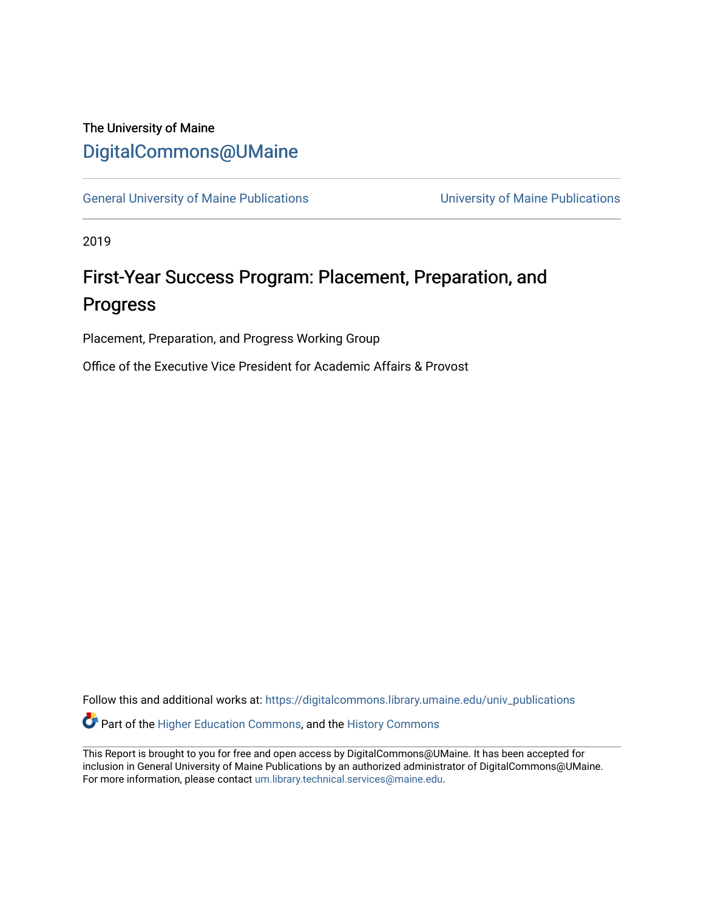# The University of Maine [DigitalCommons@UMaine](https://digitalcommons.library.umaine.edu/)

[General University of Maine Publications](https://digitalcommons.library.umaine.edu/univ_publications) [University of Maine Publications](https://digitalcommons.library.umaine.edu/umaine_publications) 

2019

# First-Year Success Program: Placement, Preparation, and Progress

Placement, Preparation, and Progress Working Group

Office of the Executive Vice President for Academic Affairs & Provost

Follow this and additional works at: [https://digitalcommons.library.umaine.edu/univ\\_publications](https://digitalcommons.library.umaine.edu/univ_publications?utm_source=digitalcommons.library.umaine.edu%2Funiv_publications%2F1963&utm_medium=PDF&utm_campaign=PDFCoverPages)  Part of the [Higher Education Commons,](http://network.bepress.com/hgg/discipline/1245?utm_source=digitalcommons.library.umaine.edu%2Funiv_publications%2F1963&utm_medium=PDF&utm_campaign=PDFCoverPages) and the [History Commons](http://network.bepress.com/hgg/discipline/489?utm_source=digitalcommons.library.umaine.edu%2Funiv_publications%2F1963&utm_medium=PDF&utm_campaign=PDFCoverPages)

This Report is brought to you for free and open access by DigitalCommons@UMaine. It has been accepted for inclusion in General University of Maine Publications by an authorized administrator of DigitalCommons@UMaine. For more information, please contact [um.library.technical.services@maine.edu](mailto:um.library.technical.services@maine.edu).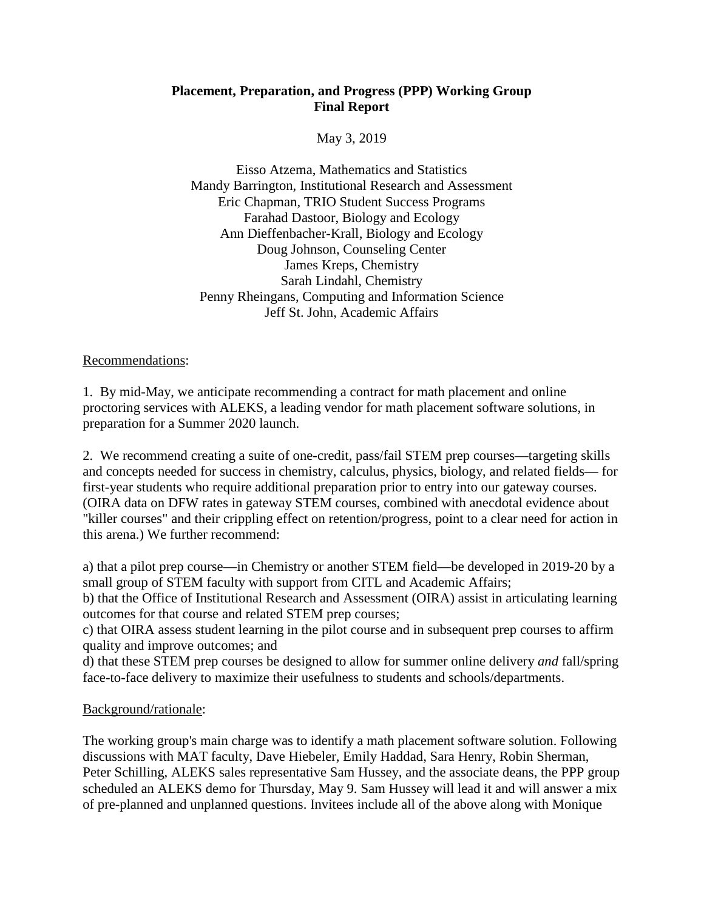## **Placement, Preparation, and Progress (PPP) Working Group Final Report**

May 3, 2019

Eisso Atzema, Mathematics and Statistics Mandy Barrington, Institutional Research and Assessment Eric Chapman, TRIO Student Success Programs Farahad Dastoor, Biology and Ecology Ann Dieffenbacher-Krall, Biology and Ecology Doug Johnson, Counseling Center James Kreps, Chemistry Sarah Lindahl, Chemistry Penny Rheingans, Computing and Information Science Jeff St. John, Academic Affairs

Recommendations:

1. By mid-May, we anticipate recommending a contract for math placement and online proctoring services with ALEKS, a leading vendor for math placement software solutions, in preparation for a Summer 2020 launch.

2. We recommend creating a suite of one-credit, pass/fail STEM prep courses—targeting skills and concepts needed for success in chemistry, calculus, physics, biology, and related fields— for first-year students who require additional preparation prior to entry into our gateway courses. (OIRA data on DFW rates in gateway STEM courses, combined with anecdotal evidence about "killer courses" and their crippling effect on retention/progress, point to a clear need for action in this arena.) We further recommend:

a) that a pilot prep course—in Chemistry or another STEM field—be developed in 2019-20 by a small group of STEM faculty with support from CITL and Academic Affairs;

b) that the Office of Institutional Research and Assessment (OIRA) assist in articulating learning outcomes for that course and related STEM prep courses;

c) that OIRA assess student learning in the pilot course and in subsequent prep courses to affirm quality and improve outcomes; and

d) that these STEM prep courses be designed to allow for summer online delivery *and* fall/spring face-to-face delivery to maximize their usefulness to students and schools/departments.

### Background/rationale:

The working group's main charge was to identify a math placement software solution. Following discussions with MAT faculty, Dave Hiebeler, Emily Haddad, Sara Henry, Robin Sherman, Peter Schilling, ALEKS sales representative Sam Hussey, and the associate deans, the PPP group scheduled an ALEKS demo for Thursday, May 9. Sam Hussey will lead it and will answer a mix of pre-planned and unplanned questions. Invitees include all of the above along with Monique